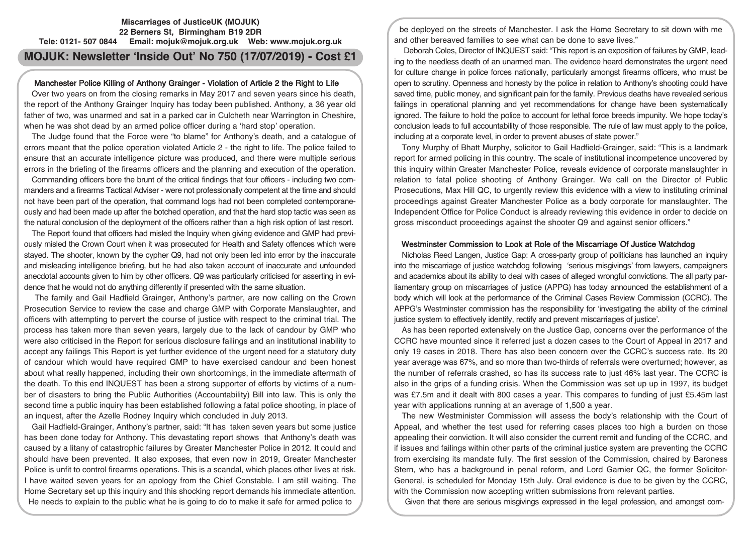# **Miscarriages of JusticeUK (MOJUK) 22 Berners St, Birmingham B19 2DR Tele: 0121- 507 0844 Email: mojuk@mojuk.org.uk Web: www.mojuk.org.uk MOJUK: Newsletter 'Inside Out' No 750 (17/07/2019) - Cost £1**

## Manchester Police Killing of Anthony Grainger - Violation of Article 2 the Right to Life

Over two years on from the closing remarks in May 2017 and seven years since his death, the report of the Anthony Grainger Inquiry has today been published. Anthony, a 36 year old father of two, was unarmed and sat in a parked car in Culcheth near Warrington in Cheshire, when he was shot dead by an armed police officer during a 'hard stop' operation.

The Judge found that the Force were "to blame" for Anthony's death, and a catalogue of errors meant that the police operation violated Article 2 - the right to life. The police failed to ensure that an accurate intelligence picture was produced, and there were multiple serious errors in the briefing of the firearms officers and the planning and execution of the operation.

Commanding officers bore the brunt of the critical findings that four officers - including two commanders and a firearms Tactical Adviser - were not professionally competent at the time and should not have been part of the operation, that command logs had not been completed contemporaneously and had been made up after the botched operation, and that the hard stop tactic was seen as the natural conclusion of the deployment of the officers rather than a high risk option of last resort.

The Report found that officers had misled the Inquiry when giving evidence and GMP had previously misled the Crown Court when it was prosecuted for Health and Safety offences which were stayed. The shooter, known by the cypher Q9, had not only been led into error by the inaccurate and misleading intelligence briefing, but he had also taken account of inaccurate and unfounded anecdotal accounts given to him by other officers. Q9 was particularly criticised for asserting in evidence that he would not do anything differently if presented with the same situation.

The family and Gail Hadfield Grainger, Anthony's partner, are now calling on the Crown Prosecution Service to review the case and charge GMP with Corporate Manslaughter, and officers with attempting to pervert the course of justice with respect to the criminal trial. The process has taken more than seven years, largely due to the lack of candour by GMP who were also criticised in the Report for serious disclosure failings and an institutional inability to accept any failings This Report is yet further evidence of the urgent need for a statutory duty of candour which would have required GMP to have exercised candour and been honest about what really happened, including their own shortcomings, in the immediate aftermath of the death. To this end INQUEST has been a strong supporter of efforts by victims of a number of disasters to bring the Public Authorities (Accountability) Bill into law. This is only the second time a public inquiry has been established following a fatal police shooting, in place of an inquest, after the Azelle Rodney Inquiry which concluded in July 2013.

Gail Hadfield-Grainger, Anthony's partner, said: "It has taken seven years but some justice has been done today for Anthony. This devastating report shows that Anthony's death was caused by a litany of catastrophic failures by Greater Manchester Police in 2012. It could and should have been prevented. It also exposes, that even now in 2019, Greater Manchester Police is unfit to control firearms operations. This is a scandal, which places other lives at risk. I have waited seven years for an apology from the Chief Constable. I am still waiting. The Home Secretary set up this inquiry and this shocking report demands his immediate attention. He needs to explain to the public what he is going to do to make it safe for armed police to

be deployed on the streets of Manchester. I ask the Home Secretary to sit down with me and other bereaved families to see what can be done to save lives."

Deborah Coles, Director of INQUEST said: "This report is an exposition of failures by GMP, leading to the needless death of an unarmed man. The evidence heard demonstrates the urgent need for culture change in police forces nationally, particularly amongst firearms officers, who must be open to scrutiny. Openness and honesty by the police in relation to Anthony's shooting could have saved time, public money, and significant pain for the family. Previous deaths have revealed serious failings in operational planning and yet recommendations for change have been systematically ignored. The failure to hold the police to account for lethal force breeds impunity. We hope today's conclusion leads to full accountability of those responsible. The rule of law must apply to the police, including at a corporate level, in order to prevent abuses of state power."

Tony Murphy of Bhatt Murphy, solicitor to Gail Hadfield-Grainger, said: "This is a landmark report for armed policing in this country. The scale of institutional incompetence uncovered by this inquiry within Greater Manchester Police, reveals evidence of corporate manslaughter in relation to fatal police shooting of Anthony Grainger. We call on the Director of Public Prosecutions, Max Hill QC, to urgently review this evidence with a view to instituting criminal proceedings against Greater Manchester Police as a body corporate for manslaughter. The Independent Office for Police Conduct is already reviewing this evidence in order to decide on gross misconduct proceedings against the shooter Q9 and against senior officers."

# Westminster Commission to Look at Role of the Miscarriage Of Justice Watchdog

Nicholas Reed Langen, Justice Gap: A cross-party group of politicians has launched an inquiry into the miscarriage of justice watchdog following 'serious misgivings' from lawyers, campaigners and academics about its ability to deal with cases of alleged wrongful convictions. The all party parliamentary group on miscarriages of justice (APPG) has today announced the establishment of a body which will look at the performance of the Criminal Cases Review Commission (CCRC). The APPG's Westminster commission has the responsibility for 'investigating the ability of the criminal justice system to effectively identify, rectify and prevent miscarriages of justice'.

As has been reported extensively on the Justice Gap, concerns over the performance of the CCRC have mounted since it referred just a dozen cases to the Court of Appeal in 2017 and only 19 cases in 2018. There has also been concern over the CCRC's success rate. Its 20 year average was 67%, and so more than two-thirds of referrals were overturned; however, as the number of referrals crashed, so has its success rate to just 46% last year. The CCRC is also in the grips of a funding crisis. When the Commission was set up up in 1997, its budget was £7.5m and it dealt with 800 cases a year. This compares to funding of just £5.45m last year with applications running at an average of 1,500 a year.

The new Westminister Commission will assess the body's relationship with the Court of Appeal, and whether the test used for referring cases places too high a burden on those appealing their conviction. It will also consider the current remit and funding of the CCRC, and if issues and failings within other parts of the criminal justice system are preventing the CCRC from exercising its mandate fully. The first session of the Commission, chaired by Baroness Stern, who has a background in penal reform, and Lord Garnier QC, the former Solicitor-General, is scheduled for Monday 15th July. Oral evidence is due to be given by the CCRC, with the Commission now accepting written submissions from relevant parties.

Given that there are serious misgivings expressed in the legal profession, and amongst com-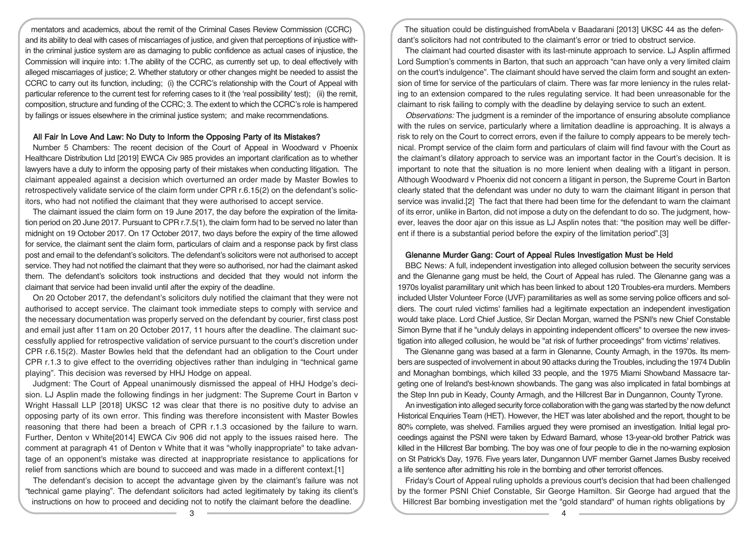mentators and academics, about the remit of the Criminal Cases Review Commission (CCRC) and its ability to deal with cases of miscarriages of justice, and given that perceptions of injustice within the criminal justice system are as damaging to public confidence as actual cases of injustice, the Commission will inquire into: 1.The ability of the CCRC, as currently set up, to deal effectively with alleged miscarriages of justice; 2. Whether statutory or other changes might be needed to assist the CCRC to carry out its function, including; (i) the CCRC's relationship with the Court of Appeal with particular reference to the current test for referring cases to it (the 'real possibility' test); (ii) the remit, composition, structure and funding of the CCRC; 3. The extent to which the CCRC's role is hampered by failings or issues elsewhere in the criminal justice system; and make recommendations.

## All Fair In Love And Law: No Duty to Inform the Opposing Party of its Mistakes?

Number 5 Chambers: The recent decision of the Court of Appeal in Woodward v Phoenix Healthcare Distribution Ltd [2019] EWCA Civ 985 provides an important clarification as to whether lawyers have a duty to inform the opposing party of their mistakes when conducting litigation. The claimant appealed against a decision which overturned an order made by Master Bowles to retrospectively validate service of the claim form under CPR r.6.15(2) on the defendant's solicitors, who had not notified the claimant that they were authorised to accept service.

The claimant issued the claim form on 19 June 2017, the day before the expiration of the limitation period on 20 June 2017. Pursuant to CPR r.7.5(1), the claim form had to be served no later than midnight on 19 October 2017. On 17 October 2017, two days before the expiry of the time allowed for service, the claimant sent the claim form, particulars of claim and a response pack by first class post and email to the defendant's solicitors. The defendant's solicitors were not authorised to accept service. They had not notified the claimant that they were so authorised, nor had the claimant asked them. The defendant's solicitors took instructions and decided that they would not inform the claimant that service had been invalid until after the expiry of the deadline.

On 20 October 2017, the defendant's solicitors duly notified the claimant that they were not authorised to accept service. The claimant took immediate steps to comply with service and the necessary documentation was properly served on the defendant by courier, first class post and email just after 11am on 20 October 2017, 11 hours after the deadline. The claimant successfully applied for retrospective validation of service pursuant to the court's discretion under CPR r.6.15(2). Master Bowles held that the defendant had an obligation to the Court under CPR r.1.3 to give effect to the overriding objectives rather than indulging in "technical game playing". This decision was reversed by HHJ Hodge on appeal.

Judgment: The Court of Appeal unanimously dismissed the appeal of HHJ Hodge's decision. LJ Asplin made the following findings in her judgment: The Supreme Court in Barton v Wright Hassall LLP [2018] UKSC 12 was clear that there is no positive duty to advise an opposing party of its own error. This finding was therefore inconsistent with Master Bowles reasoning that there had been a breach of CPR r.1.3 occasioned by the failure to warn. Further, Denton v White[2014] EWCA Civ 906 did not apply to the issues raised here. The comment at paragraph 41 of Denton v White that it was "wholly inappropriate" to take advantage of an opponent's mistake was directed at inappropriate resistance to applications for relief from sanctions which are bound to succeed and was made in a different context.[1]

The defendant's decision to accept the advantage given by the claimant's failure was not "technical game playing". The defendant solicitors had acted legitimately by taking its client's instructions on how to proceed and deciding not to notify the claimant before the deadline.

The situation could be distinguished fromAbela v Baadarani [2013] UKSC 44 as the defendant's solicitors had not contributed to the claimant's error or tried to obstruct service.

The claimant had courted disaster with its last-minute approach to service. LJ Asplin affirmed Lord Sumption's comments in Barton, that such an approach "can have only a very limited claim on the court's indulgence". The claimant should have served the claim form and sought an extension of time for service of the particulars of claim. There was far more leniency in the rules relating to an extension compared to the rules regulating service. It had been unreasonable for the claimant to risk failing to comply with the deadline by delaying service to such an extent.

Observations: The judgment is a reminder of the importance of ensuring absolute compliance with the rules on service, particularly where a limitation deadline is approaching. It is always a risk to rely on the Court to correct errors, even if the failure to comply appears to be merely technical. Prompt service of the claim form and particulars of claim will find favour with the Court as the claimant's dilatory approach to service was an important factor in the Court's decision. It is important to note that the situation is no more lenient when dealing with a litigant in person. Although Woodward v Phoenix did not concern a litigant in person, the Supreme Court in Barton clearly stated that the defendant was under no duty to warn the claimant litigant in person that service was invalid.[2] The fact that there had been time for the defendant to warn the claimant of its error, unlike in Barton, did not impose a duty on the defendant to do so. The judgment, however, leaves the door ajar on this issue as LJ Asplin notes that: "the position may well be different if there is a substantial period before the expiry of the limitation period".[3]

## Glenanne Murder Gang: Court of Appeal Rules Investigation Must be Held

BBC News: A full, independent investigation into alleged collusion between the security services and the Glenanne gang must be held, the Court of Appeal has ruled. The Glenanne gang was a 1970s loyalist paramilitary unit which has been linked to about 120 Troubles-era murders. Members included Ulster Volunteer Force (UVF) paramilitaries as well as some serving police officers and soldiers. The court ruled victims' families had a legitimate expectation an independent investigation would take place. Lord Chief Justice, Sir Declan Morgan, warned the PSNI's new Chief Constable Simon Byrne that if he "unduly delays in appointing independent officers" to oversee the new investigation into alleged collusion, he would be "at risk of further proceedings" from victims' relatives.

The Glenanne gang was based at a farm in Glenanne, County Armagh, in the 1970s. Its members are suspected of involvement in about 90 attacks during the Troubles, including the 1974 Dublin and Monaghan bombings, which killed 33 people, and the 1975 Miami Showband Massacre targeting one of Ireland's best-known showbands. The gang was also implicated in fatal bombings at the Step Inn pub in Keady, County Armagh, and the Hillcrest Bar in Dungannon, County Tyrone.

An investigation into alleged security force collaboration with the gang was started by the now defunct Historical Enquiries Team (HET). However, the HET was later abolished and the report, thought to be 80% complete, was shelved. Families argued they were promised an investigation. Initial legal proceedings against the PSNI were taken by Edward Barnard, whose 13-year-old brother Patrick was killed in the Hillcrest Bar bombing. The boy was one of four people to die in the no-warning explosion on St Patrick's Day, 1976. Five years later, Dungannon UVF member Garnet James Busby received a life sentence after admitting his role in the bombing and other terrorist offences.

Friday's Court of Appeal ruling upholds a previous court's decision that had been challenged by the former PSNI Chief Constable, Sir George Hamilton. Sir George had argued that the Hillcrest Bar bombing investigation met the "gold standard" of human rights obligations by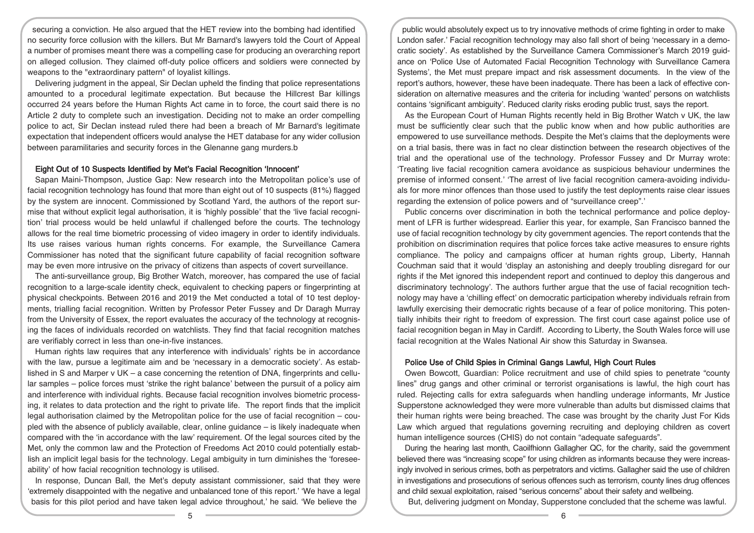securing a conviction. He also argued that the HET review into the bombing had identified no security force collusion with the killers. But Mr Barnard's lawyers told the Court of Appeal a number of promises meant there was a compelling case for producing an overarching report on alleged collusion. They claimed off-duty police officers and soldiers were connected by weapons to the "extraordinary pattern" of loyalist killings.

Delivering judgment in the appeal, Sir Declan upheld the finding that police representations amounted to a procedural legitimate expectation. But because the Hillcrest Bar killings occurred 24 years before the Human Rights Act came in to force, the court said there is no Article 2 duty to complete such an investigation. Deciding not to make an order compelling police to act, Sir Declan instead ruled there had been a breach of Mr Barnard's legitimate expectation that independent officers would analyse the HET database for any wider collusion between paramilitaries and security forces in the Glenanne gang murders.b

## Eight Out of 10 Suspects Identified by Met's Facial Recognition 'Innocent'

Sapan Maini-Thompson, Justice Gap: New research into the Metropolitan police's use of facial recognition technology has found that more than eight out of 10 suspects (81%) flagged by the system are innocent. Commissioned by Scotland Yard, the authors of the report surmise that without explicit legal authorisation, it is 'highly possible' that the 'live facial recognition' trial process would be held unlawful if challenged before the courts. The technology allows for the real time biometric processing of video imagery in order to identify individuals. Its use raises various human rights concerns. For example, the Surveillance Camera Commissioner has noted that the significant future capability of facial recognition software may be even more intrusive on the privacy of citizens than aspects of covert surveillance.

The anti-surveillance group, Big Brother Watch, moreover, has compared the use of facial recognition to a large-scale identity check, equivalent to checking papers or fingerprinting at physical checkpoints. Between 2016 and 2019 the Met conducted a total of 10 test deployments, trialling facial recognition. Written by Professor Peter Fussey and Dr Daragh Murray from the University of Essex, the report evaluates the accuracy of the technology at recognising the faces of individuals recorded on watchlists. They find that facial recognition matches are verifiably correct in less than one-in-five instances.

Human rights law requires that any interference with individuals' rights be in accordance with the law, pursue a legitimate aim and be 'necessary in a democratic society'. As established in S and Marper v UK – a case concerning the retention of DNA, fingerprints and cellular samples – police forces must 'strike the right balance' between the pursuit of a policy aim and interference with individual rights. Because facial recognition involves biometric processing, it relates to data protection and the right to private life. The report finds that the implicit legal authorisation claimed by the Metropolitan police for the use of facial recognition – coupled with the absence of publicly available, clear, online guidance – is likely inadequate when compared with the 'in accordance with the law' requirement. Of the legal sources cited by the Met, only the common law and the Protection of Freedoms Act 2010 could potentially establish an implicit legal basis for the technology. Legal ambiguity in turn diminishes the 'foreseeability' of how facial recognition technology is utilised.

In response, Duncan Ball, the Met's deputy assistant commissioner, said that they were 'extremely disappointed with the negative and unbalanced tone of this report.' 'We have a legal basis for this pilot period and have taken legal advice throughout,' he said. 'We believe the

public would absolutely expect us to try innovative methods of crime fighting in order to make London safer.' Facial recognition technology may also fall short of being 'necessary in a democratic society'. As established by the Surveillance Camera Commissioner's March 2019 guidance on 'Police Use of Automated Facial Recognition Technology with Surveillance Camera Systems', the Met must prepare impact and risk assessment documents. In the view of the report's authors, however, these have been inadequate. There has been a lack of effective consideration on alternative measures and the criteria for including 'wanted' persons on watchlists contains 'significant ambiguity'. Reduced clarity risks eroding public trust, says the report.

As the European Court of Human Rights recently held in Big Brother Watch v UK, the law must be sufficiently clear such that the public know when and how public authorities are empowered to use surveillance methods. Despite the Met's claims that the deployments were on a trial basis, there was in fact no clear distinction between the research objectives of the trial and the operational use of the technology. Professor Fussey and Dr Murray wrote: 'Treating live facial recognition camera avoidance as suspicious behaviour undermines the premise of informed consent.' 'The arrest of live facial recognition camera-avoiding individuals for more minor offences than those used to justify the test deployments raise clear issues regarding the extension of police powers and of "surveillance creep".'

Public concerns over discrimination in both the technical performance and police deployment of LFR is further widespread. Earlier this year, for example, San Francisco banned the use of facial recognition technology by city government agencies. The report contends that the prohibition on discrimination requires that police forces take active measures to ensure rights compliance. The policy and campaigns officer at human rights group, Liberty, Hannah Couchman said that it would 'display an astonishing and deeply troubling disregard for our rights if the Met ignored this independent report and continued to deploy this dangerous and discriminatory technology'. The authors further argue that the use of facial recognition technology may have a 'chilling effect' on democratic participation whereby individuals refrain from lawfully exercising their democratic rights because of a fear of police monitoring. This potentially inhibits their right to freedom of expression. The first court case against police use of facial recognition began in May in Cardiff. According to Liberty, the South Wales force will use facial recognition at the Wales National Air show this Saturday in Swansea.

#### Police Use of Child Spies in Criminal Gangs Lawful, High Court Rules

Owen Bowcott, Guardian: Police recruitment and use of child spies to penetrate "county lines" drug gangs and other criminal or terrorist organisations is lawful, the high court has ruled. Rejecting calls for extra safeguards when handling underage informants, Mr Justice Supperstone acknowledged they were more vulnerable than adults but dismissed claims that their human rights were being breached. The case was brought by the charity Just For Kids Law which argued that regulations governing recruiting and deploying children as covert human intelligence sources (CHIS) do not contain "adequate safeguards".

During the hearing last month, Caoilfhionn Gallagher QC, for the charity, said the government believed there was "increasing scope" for using children as informants because they were increasingly involved in serious crimes, both as perpetrators and victims. Gallagher said the use of children in investigations and prosecutions of serious offences such as terrorism, county lines drug offences and child sexual exploitation, raised "serious concerns" about their safety and wellbeing.

But, delivering judgment on Monday, Supperstone concluded that the scheme was lawful.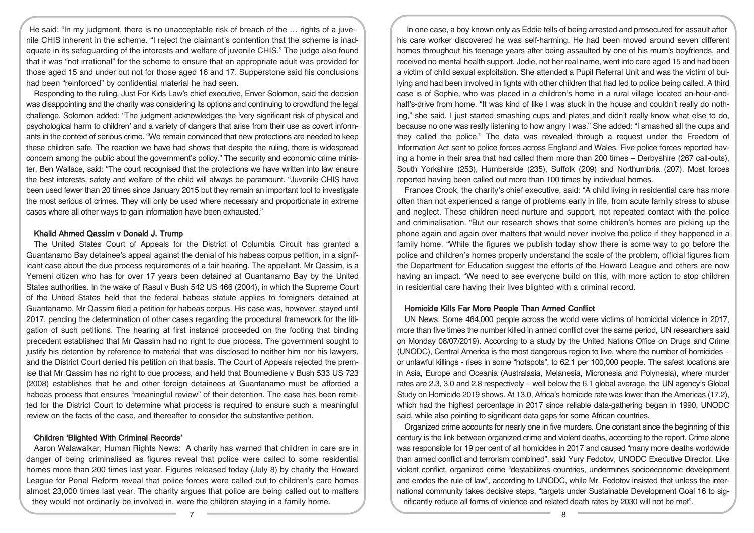He said: "In my judgment, there is no unacceptable risk of breach of the … rights of a juvenile CHIS inherent in the scheme. "I reject the claimant's contention that the scheme is inadequate in its safeguarding of the interests and welfare of juvenile CHIS." The judge also found that it was "not irrational" for the scheme to ensure that an appropriate adult was provided for those aged 15 and under but not for those aged 16 and 17. Supperstone said his conclusions had been "reinforced" by confidential material he had seen.

Responding to the ruling, Just For Kids Law's chief executive, Enver Solomon, said the decision was disappointing and the charity was considering its options and continuing to crowdfund the legal challenge. Solomon added: "The judgment acknowledges the 'very significant risk of physical and psychological harm to children' and a variety of dangers that arise from their use as covert informants in the context of serious crime. "We remain convinced that new protections are needed to keep these children safe. The reaction we have had shows that despite the ruling, there is widespread concern among the public about the government's policy." The security and economic crime minister, Ben Wallace, said: "The court recognised that the protections we have written into law ensure the best interests, safety and welfare of the child will always be paramount. "Juvenile CHIS have been used fewer than 20 times since January 2015 but they remain an important tool to investigate the most serious of crimes. They will only be used where necessary and proportionate in extreme cases where all other ways to gain information have been exhausted."

## Khalid Ahmed Qassim v Donald J. Trump

The United States Court of Appeals for the District of Columbia Circuit has granted a Guantanamo Bay detainee's appeal against the denial of his habeas corpus petition, in a significant case about the due process requirements of a fair hearing. The appellant, Mr Qassim, is a Yemeni citizen who has for over 17 years been detained at Guantanamo Bay by the United States authorities. In the wake of Rasul v Bush 542 US 466 (2004), in which the Supreme Court of the United States held that the federal habeas statute applies to foreigners detained at Guantanamo, Mr Qassim filed a petition for habeas corpus. His case was, however, stayed until 2017, pending the determination of other cases regarding the procedural framework for the litigation of such petitions. The hearing at first instance proceeded on the footing that binding precedent established that Mr Qassim had no right to due process. The government sought to justify his detention by reference to material that was disclosed to neither him nor his lawyers, and the District Court denied his petition on that basis. The Court of Appeals rejected the premise that Mr Qassim has no right to due process, and held that Boumediene v Bush 533 US 723 (2008) establishes that he and other foreign detainees at Guantanamo must be afforded a habeas process that ensures "meaningful review" of their detention. The case has been remitted for the District Court to determine what process is required to ensure such a meaningful review on the facts of the case, and thereafter to consider the substantive petition.

### Children 'Blighted With Criminal Records'

Aaron Walawalkar, Human Rights News: A charity has warned that children in care are in danger of being criminalised as figures reveal that police were called to some residential homes more than 200 times last year. Figures released today (July 8) by charity the Howard League for Penal Reform reveal that police forces were called out to children's care homes almost 23,000 times last year. The charity argues that police are being called out to matters they would not ordinarily be involved in, were the children staying in a family home.

In one case, a boy known only as Eddie tells of being arrested and prosecuted for assault after his care worker discovered he was self-harming. He had been moved around seven different homes throughout his teenage years after being assaulted by one of his mum's boyfriends, and received no mental health support. Jodie, not her real name, went into care aged 15 and had been a victim of child sexual exploitation. She attended a Pupil Referral Unit and was the victim of bullying and had been involved in fights with other children that had led to police being called. A third case is of Sophie, who was placed in a children's home in a rural village located an-hour-andhalf's-drive from home. "It was kind of like I was stuck in the house and couldn't really do nothing," she said. I just started smashing cups and plates and didn't really know what else to do, because no one was really listening to how angry I was." She added: "I smashed all the cups and they called the police." The data was revealed through a request under the Freedom of Information Act sent to police forces across England and Wales. Five police forces reported having a home in their area that had called them more than 200 times – Derbyshire (267 call-outs), South Yorkshire (253), Humberside (235), Suffolk (209) and Northumbria (207). Most forces reported having been called out more than 100 times by individual homes.

Frances Crook, the charity's chief executive, said: "A child living in residential care has more often than not experienced a range of problems early in life, from acute family stress to abuse and neglect. These children need nurture and support, not repeated contact with the police and criminalisation. "But our research shows that some children's homes are picking up the phone again and again over matters that would never involve the police if they happened in a family home. "While the figures we publish today show there is some way to go before the police and children's homes properly understand the scale of the problem, official figures from the Department for Education suggest the efforts of the Howard League and others are now having an impact. "We need to see everyone build on this, with more action to stop children in residential care having their lives blighted with a criminal record.

## Homicide Kills Far More People Than Armed Conflict

UN News: Some 464,000 people across the world were victims of homicidal violence in 2017, more than five times the number killed in armed conflict over the same period, UN researchers said on Monday 08/07/2019). According to a study by the United Nations Office on Drugs and Crime (UNODC), Central America is the most dangerous region to live, where the number of homicides – or unlawful killings - rises in some "hotspots", to 62.1 per 100,000 people. The safest locations are in Asia, Europe and Oceania (Australasia, Melanesia, Micronesia and Polynesia), where murder rates are 2.3, 3.0 and 2.8 respectively – well below the 6.1 global average, the UN agency's Global Study on Homicide 2019 shows. At 13.0, Africa's homicide rate was lower than the Americas (17.2), which had the highest percentage in 2017 since reliable data-gathering began in 1990, UNODC said, while also pointing to significant data gaps for some African countries.

Organized crime accounts for nearly one in five murders. One constant since the beginning of this century is the link between organized crime and violent deaths, according to the report. Crime alone was responsible for 19 per cent of all homicides in 2017 and caused "many more deaths worldwide than armed conflict and terrorism combined", said Yury Fedotov, UNODC Executive Director. Like violent conflict, organized crime "destabilizes countries, undermines socioeconomic development and erodes the rule of law", according to UNODC, while Mr. Fedotov insisted that unless the international community takes decisive steps, "targets under Sustainable Development Goal 16 to significantly reduce all forms of violence and related death rates by 2030 will not be met".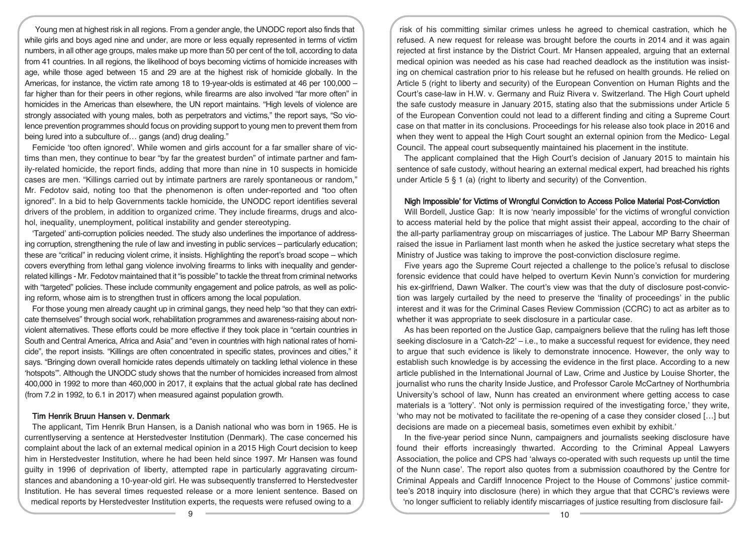Young men at highest risk in all regions. From a gender angle, the UNODC report also finds that while girls and boys aged nine and under, are more or less equally represented in terms of victim numbers, in all other age groups, males make up more than 50 per cent of the toll, according to data from 41 countries. In all regions, the likelihood of boys becoming victims of homicide increases with age, while those aged between 15 and 29 are at the highest risk of homicide globally. In the Americas, for instance, the victim rate among 18 to 19-year-olds is estimated at 46 per 100,000 – far higher than for their peers in other regions, while firearms are also involved "far more often" in homicides in the Americas than elsewhere, the UN report maintains. "High levels of violence are strongly associated with young males, both as perpetrators and victims," the report says, "So violence prevention programmes should focus on providing support to young men to prevent them from being lured into a subculture of… gangs (and) drug dealing."

Femicide 'too often ignored'. While women and girls account for a far smaller share of victims than men, they continue to bear "by far the greatest burden" of intimate partner and family-related homicide, the report finds, adding that more than nine in 10 suspects in homicide cases are men. "Killings carried out by intimate partners are rarely spontaneous or random," Mr. Fedotov said, noting too that the phenomenon is often under-reported and "too often ignored". In a bid to help Governments tackle homicide, the UNODC report identifies several drivers of the problem, in addition to organized crime. They include firearms, drugs and alcohol, inequality, unemployment, political instability and gender stereotyping.

'Targeted' anti-corruption policies needed. The study also underlines the importance of addressing corruption, strengthening the rule of law and investing in public services – particularly education; these are "critical" in reducing violent crime, it insists. Highlighting the report's broad scope – which covers everything from lethal gang violence involving firearms to links with inequality and genderrelated killings - Mr. Fedotov maintained that it "is possible" to tackle the threat from criminal networks with "targeted" policies. These include community engagement and police patrols, as well as policing reform, whose aim is to strengthen trust in officers among the local population.

For those young men already caught up in criminal gangs, they need help "so that they can extricate themselves" through social work, rehabilitation programmes and awareness-raising about nonviolent alternatives. These efforts could be more effective if they took place in "certain countries in South and Central America, Africa and Asia" and "even in countries with high national rates of homicide", the report insists. "Killings are often concentrated in specific states, provinces and cities," it says. "Bringing down overall homicide rates depends ultimately on tackling lethal violence in these 'hotspots'". Although the UNODC study shows that the number of homicides increased from almost 400,000 in 1992 to more than 460,000 in 2017, it explains that the actual global rate has declined (from 7.2 in 1992, to 6.1 in 2017) when measured against population growth.

## Tim Henrik Bruun Hansen v. Denmark

The applicant, Tim Henrik Brun Hansen, is a Danish national who was born in 1965. He is currentlyserving a sentence at Herstedvester Institution (Denmark). The case concerned his complaint about the lack of an external medical opinion in a 2015 High Court decision to keep him in Herstedvester Institution, where he had been held since 1997. Mr Hansen was found guilty in 1996 of deprivation of liberty, attempted rape in particularly aggravating circumstances and abandoning a 10-year-old girl. He was subsequently transferred to Herstedvester Institution. He has several times requested release or a more lenient sentence. Based on medical reports by Herstedvester Institution experts, the requests were refused owing to a

risk of his committing similar crimes unless he agreed to chemical castration, which he refused. A new request for release was brought before the courts in 2014 and it was again rejected at first instance by the District Court. Mr Hansen appealed, arguing that an external medical opinion was needed as his case had reached deadlock as the institution was insisting on chemical castration prior to his release but he refused on health grounds. He relied on Article 5 (right to liberty and security) of the European Convention on Human Rights and the Court's case-law in H.W. v. Germany and Ruiz Rivera v. Switzerland. The High Court upheld the safe custody measure in January 2015, stating also that the submissions under Article 5 of the European Convention could not lead to a different finding and citing a Supreme Court case on that matter in its conclusions. Proceedings for his release also took place in 2016 and when they went to appeal the High Court sought an external opinion from the Medico- Legal Council. The appeal court subsequently maintained his placement in the institute.

The applicant complained that the High Court's decision of January 2015 to maintain his sentence of safe custody, without hearing an external medical expert, had breached his rights under Article 5 § 1 (a) (right to liberty and security) of the Convention.

#### Nigh Impossible' for Victims of Wrongful Conviction to Access Police Material Post-Conviction

Will Bordell, Justice Gap: It is now 'nearly impossible' for the victims of wrongful conviction to access material held by the police that might assist their appeal, according to the chair of the all-party parliamentray group on miscarriages of justice. The Labour MP Barry Sheerman raised the issue in Parliament last month when he asked the justice secretary what steps the Ministry of Justice was taking to improve the post-conviction disclosure regime.

Five years ago the Supreme Court rejected a challenge to the police's refusal to disclose forensic evidence that could have helped to overturn Kevin Nunn's conviction for murdering his ex-girlfriend, Dawn Walker. The court's view was that the duty of disclosure post-conviction was largely curtailed by the need to preserve the 'finality of proceedings' in the public interest and it was for the Criminal Cases Review Commission (CCRC) to act as arbiter as to whether it was appropriate to seek disclosure in a particular case.

As has been reported on the Justice Gap, campaigners believe that the ruling has left those seeking disclosure in a 'Catch-22' – i.e., to make a successful request for evidence, they need to argue that such evidence is likely to demonstrate innocence. However, the only way to establish such knowledge is by accessing the evidence in the first place. According to a new article published in the International Journal of Law, Crime and Justice by Louise Shorter, the journalist who runs the charity Inside Justice, and Professor Carole McCartney of Northumbria University's school of law, Nunn has created an environment where getting access to case materials is a 'lottery'. 'Not only is permission required of the investigating force,' they write, 'who may not be motivated to facilitate the re-opening of a case they consider closed […] but decisions are made on a piecemeal basis, sometimes even exhibit by exhibit.'

In the five-year period since Nunn, campaigners and journalists seeking disclosure have found their efforts increasingly thwarted. According to the Criminal Appeal Lawyers Association, the police and CPS had 'always co-operated with such requests up until the time of the Nunn case'. The report also quotes from a submission coauthored by the Centre for Criminal Appeals and Cardiff Innocence Project to the House of Commons' justice committee's 2018 inquiry into disclosure (here) in which they argue that that CCRC's reviews were 'no longer sufficient to reliably identify miscarriages of justice resulting from disclosure fail-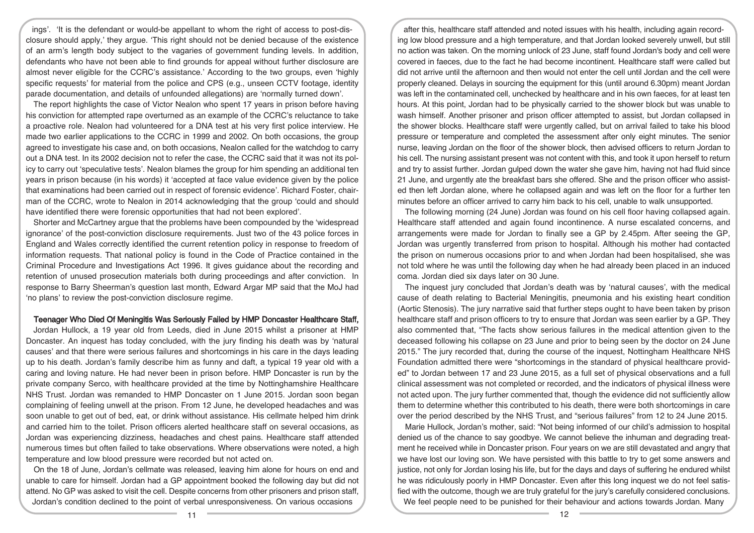ings'. 'It is the defendant or would-be appellant to whom the right of access to post-disclosure should apply,' they argue. 'This right should not be denied because of the existence of an arm's length body subject to the vagaries of government funding levels. In addition, defendants who have not been able to find grounds for appeal without further disclosure are almost never eligible for the CCRC's assistance.' According to the two groups, even 'highly specific requests' for material from the police and CPS (e.g., unseen CCTV footage, identity parade documentation, and details of unfounded allegations) are 'normally turned down'.

The report highlights the case of Victor Nealon who spent 17 years in prison before having his conviction for attempted rape overturned as an example of the CCRC's reluctance to take a proactive role. Nealon had volunteered for a DNA test at his very first police interview. He made two earlier applications to the CCRC in 1999 and 2002. On both occasions, the group agreed to investigate his case and, on both occasions, Nealon called for the watchdog to carry out a DNA test. In its 2002 decision not to refer the case, the CCRC said that it was not its policy to carry out 'speculative tests'. Nealon blames the group for him spending an additional ten years in prison because (in his words) it 'accepted at face value evidence given by the police that examinations had been carried out in respect of forensic evidence'. Richard Foster, chairman of the CCRC, wrote to Nealon in 2014 acknowledging that the group 'could and should have identified there were forensic opportunities that had not been explored'.

Shorter and McCartney argue that the problems have been compounded by the 'widespread ignorance' of the post-conviction disclosure requirements. Just two of the 43 police forces in England and Wales correctly identified the current retention policy in response to freedom of information requests. That national policy is found in the Code of Practice contained in the Criminal Procedure and Investigations Act 1996. It gives guidance about the recording and retention of unused prosecution materials both during proceedings and after conviction. In response to Barry Sheerman's question last month, Edward Argar MP said that the MoJ had 'no plans' to review the post-conviction disclosure regime.

## Teenager Who Died Of Meningitis Was Seriously Failed by HMP Doncaster Healthcare Staff,

Jordan Hullock, a 19 year old from Leeds, died in June 2015 whilst a prisoner at HMP Doncaster. An inquest has today concluded, with the jury finding his death was by 'natural causes' and that there were serious failures and shortcomings in his care in the days leading up to his death. Jordan's family describe him as funny and daft, a typical 19 year old with a caring and loving nature. He had never been in prison before. HMP Doncaster is run by the private company Serco, with healthcare provided at the time by Nottinghamshire Healthcare NHS Trust. Jordan was remanded to HMP Doncaster on 1 June 2015. Jordan soon began complaining of feeling unwell at the prison. From 12 June, he developed headaches and was soon unable to get out of bed, eat, or drink without assistance. His cellmate helped him drink and carried him to the toilet. Prison officers alerted healthcare staff on several occasions, as Jordan was experiencing dizziness, headaches and chest pains. Healthcare staff attended numerous times but often failed to take observations. Where observations were noted, a high temperature and low blood pressure were recorded but not acted on.

On the 18 of June, Jordan's cellmate was released, leaving him alone for hours on end and unable to care for himself. Jordan had a GP appointment booked the following day but did not attend. No GP was asked to visit the cell. Despite concerns from other prisoners and prison staff, Jordan's condition declined to the point of verbal unresponsiveness. On various occasions

after this, healthcare staff attended and noted issues with his health, including again recording low blood pressure and a high temperature, and that Jordan looked severely unwell, but still no action was taken. On the morning unlock of 23 June, staff found Jordan's body and cell were covered in faeces, due to the fact he had become incontinent. Healthcare staff were called but did not arrive until the afternoon and then would not enter the cell until Jordan and the cell were properly cleaned. Delays in sourcing the equipment for this (until around 6.30pm) meant Jordan was left in the contaminated cell, unchecked by healthcare and in his own faeces, for at least ten hours. At this point, Jordan had to be physically carried to the shower block but was unable to wash himself. Another prisoner and prison officer attempted to assist, but Jordan collapsed in the shower blocks. Healthcare staff were urgently called, but on arrival failed to take his blood pressure or temperature and completed the assessment after only eight minutes. The senior nurse, leaving Jordan on the floor of the shower block, then advised officers to return Jordan to his cell. The nursing assistant present was not content with this, and took it upon herself to return and try to assist further. Jordan gulped down the water she gave him, having not had fluid since 21 June, and urgently ate the breakfast bars she offered. She and the prison officer who assisted then left Jordan alone, where he collapsed again and was left on the floor for a further ten minutes before an officer arrived to carry him back to his cell, unable to walk unsupported.

The following morning (24 June) Jordan was found on his cell floor having collapsed again. Healthcare staff attended and again found incontinence. A nurse escalated concerns, and arrangements were made for Jordan to finally see a GP by 2.45pm. After seeing the GP, Jordan was urgently transferred from prison to hospital. Although his mother had contacted the prison on numerous occasions prior to and when Jordan had been hospitalised, she was not told where he was until the following day when he had already been placed in an induced coma. Jordan died six days later on 30 June.

The inquest jury concluded that Jordan's death was by 'natural causes', with the medical cause of death relating to Bacterial Meningitis, pneumonia and his existing heart condition (Aortic Stenosis). The jury narrative said that further steps ought to have been taken by prison healthcare staff and prison officers to try to ensure that Jordan was seen earlier by a GP. They also commented that, "The facts show serious failures in the medical attention given to the deceased following his collapse on 23 June and prior to being seen by the doctor on 24 June 2015." The jury recorded that, during the course of the inquest, Nottingham Healthcare NHS Foundation admitted there were "shortcomings in the standard of physical healthcare provided" to Jordan between 17 and 23 June 2015, as a full set of physical observations and a full clinical assessment was not completed or recorded, and the indicators of physical illness were not acted upon. The jury further commented that, though the evidence did not sufficiently allow them to determine whether this contributed to his death, there were both shortcomings in care over the period described by the NHS Trust, and "serious failures" from 12 to 24 June 2015.

Marie Hullock, Jordan's mother, said: "Not being informed of our child's admission to hospital denied us of the chance to say goodbye. We cannot believe the inhuman and degrading treatment he received while in Doncaster prison. Four years on we are still devastated and angry that we have lost our loving son. We have persisted with this battle to try to get some answers and justice, not only for Jordan losing his life, but for the days and days of suffering he endured whilst he was ridiculously poorly in HMP Doncaster. Even after this long inquest we do not feel satisfied with the outcome, though we are truly grateful for the jury's carefully considered conclusions. We feel people need to be punished for their behaviour and actions towards Jordan. Many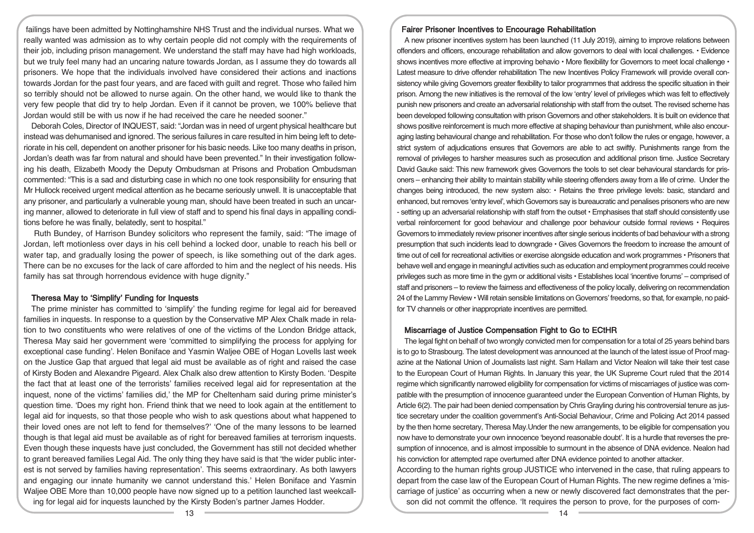failings have been admitted by Nottinghamshire NHS Trust and the individual nurses. What we really wanted was admission as to why certain people did not comply with the requirements of their job, including prison management. We understand the staff may have had high workloads, but we truly feel many had an uncaring nature towards Jordan, as I assume they do towards all prisoners. We hope that the individuals involved have considered their actions and inactions towards Jordan for the past four years, and are faced with guilt and regret. Those who failed him so terribly should not be allowed to nurse again. On the other hand, we would like to thank the very few people that did try to help Jordan. Even if it cannot be proven, we 100% believe that Jordan would still be with us now if he had received the care he needed sooner."

Deborah Coles, Director of INQUEST, said: "Jordan was in need of urgent physical healthcare but instead was dehumanised and ignored. The serious failures in care resulted in him being left to deteriorate in his cell, dependent on another prisoner for his basic needs. Like too many deaths in prison, Jordan's death was far from natural and should have been prevented." In their investigation following his death, Elizabeth Moody the Deputy Ombudsman at Prisons and Probation Ombudsman commented: "This is a sad and disturbing case in which no one took responsibility for ensuring that Mr Hullock received urgent medical attention as he became seriously unwell. It is unacceptable that any prisoner, and particularly a vulnerable young man, should have been treated in such an uncaring manner, allowed to deteriorate in full view of staff and to spend his final days in appalling conditions before he was finally, belatedly, sent to hospital."

Ruth Bundey, of Harrison Bundey solicitors who represent the family, said: "The image of Jordan, left motionless over days in his cell behind a locked door, unable to reach his bell or water tap, and gradually losing the power of speech, is like something out of the dark ages. There can be no excuses for the lack of care afforded to him and the neglect of his needs. His family has sat through horrendous evidence with huge dignity."

## Theresa May to 'Simplify' Funding for Inquests

The prime minister has committed to 'simplify' the funding regime for legal aid for bereaved families in inquests. In response to a question by the Conservative MP Alex Chalk made in relation to two constituents who were relatives of one of the victims of the London Bridge attack. Theresa May said her government were 'committed to simplifying the process for applying for exceptional case funding'. Helen Boniface and Yasmin Waljee OBE of Hogan Lovells last week on the Justice Gap that argued that legal aid must be available as of right and raised the case of Kirsty Boden and Alexandre Pigeard. Alex Chalk also drew attention to Kirsty Boden. 'Despite the fact that at least one of the terrorists' families received legal aid for representation at the inquest, none of the victims' families did,' the MP for Cheltenham said during prime minister's question time. 'Does my right hon. Friend think that we need to look again at the entitlement to legal aid for inquests, so that those people who wish to ask questions about what happened to their loved ones are not left to fend for themselves?' 'One of the many lessons to be learned though is that legal aid must be available as of right for bereaved families at terrorism inquests. Even though these inquests have just concluded, the Government has still not decided whether to grant bereaved families Legal Aid. The only thing they have said is that 'the wider public interest is not served by families having representation'. This seems extraordinary. As both lawyers and engaging our innate humanity we cannot understand this.' Helen Boniface and Yasmin Waljee OBE More than 10,000 people have now signed up to a petition launched last weekcalling for legal aid for inquests launched by the Kirsty Boden's partner James Hodder.

### Fairer Prisoner Incentives to Encourage Rehabilitation

A new prisoner incentives system has been launched (11 July 2019), aiming to improve relations between offenders and officers, encourage rehabilitation and allow governors to deal with local challenges. • Evidence shows incentives more effective at improving behavio  $\cdot$  More flexibility for Governors to meet local challenge  $\cdot$ Latest measure to drive offender rehabilitation The new Incentives Policy Framework will provide overall consistency while giving Governors greater flexibility to tailor programmes that address the specific situation in their prison. Among the new initiatives is the removal of the low 'entry' level of privileges which was felt to effectively punish new prisoners and create an adversarial relationship with staff from the outset. The revised scheme has been developed following consultation with prison Governors and other stakeholders. It is built on evidence that shows positive reinforcement is much more effective at shaping behaviour than punishment, while also encouraging lasting behavioural change and rehabilitation. For those who don't follow the rules or engage, however, a strict system of adjudications ensures that Governors are able to act swiftly. Punishments range from the removal of privileges to harsher measures such as prosecution and additional prison time. Justice Secretary David Gauke said: This new framework gives Governors the tools to set clear behavioural standards for prisoners – enhancing their ability to maintain stability while steering offenders away from a life of crime. Under the changes being introduced, the new system also: • Retains the three privilege levels: basic, standard and enhanced, but removes 'entry level', which Governors say is bureaucratic and penalises prisoners who are new - setting up an adversarial relationship with staff from the outset • Emphasises that staff should consistently use verbal reinforcement for good behaviour and challenge poor behaviour outside formal reviews • Requires Governors to immediately review prisonerincentives after single serious incidents of bad behaviour with a strong presumption that such incidents lead to downgrade • Gives Governors the freedom to increase the amount of time out of cell for recreational activities or exercise alongside education and work programmes • Prisoners that behave well and engage in meaningful activities such as education and employment programmes could receive privileges such as more time in the gym or additional visits • Establishes local 'incentive forums' – comprised of staff and prisoners – to review the fairness and effectiveness of the policy locally, delivering on recommendation 24 of the Lammy Review • Willretain sensible limitations on Governors' freedoms, so that, for example, no paidfor TV channels or other inappropriate incentives are permitted.

## Miscarriage of Justice Compensation Fight to Go to ECtHR

The legal fight on behalf of two wrongly convicted men for compensation for a total of 25 years behind bars is to go to Strasbourg. The latest development was announced at the launch of the latest issue of Proof magazine at the National Union of Journalists last night. Sam Hallam and Victor Nealon will take their test case to the European Court of Human Rights. In January this year, the UK Supreme Court ruled that the 2014 regime which significantly narrowed eligibility for compensation for victims of miscarriages of justice was compatible with the presumption of innocence guaranteed under the European Convention of Human Rights, by Article 6(2). The pair had been denied compensation by Chris Grayling during his controversial tenure as justice secretary under the coalition government's Anti-Social Behaviour, Crime and Policing Act 2014 passed by the then home secretary, Theresa May.Under the new arrangements, to be eligible for compensation you now have to demonstrate your own innocence 'beyond reasonable doubt'. It is a hurdle that reverses the presumption of innocence, and is almost impossible to surmount in the absence of DNA evidence. Nealon had his conviction for attempted rape overturned after DNA evidence pointed to another attacker.

According to the human rights group JUSTICE who intervened in the case, that ruling appears to depart from the case law of the European Court of Human Rights. The new regime defines a 'miscarriage of justice' as occurring when a new or newly discovered fact demonstrates that the person did not commit the offence. 'It requires the person to prove, for the purposes of com-